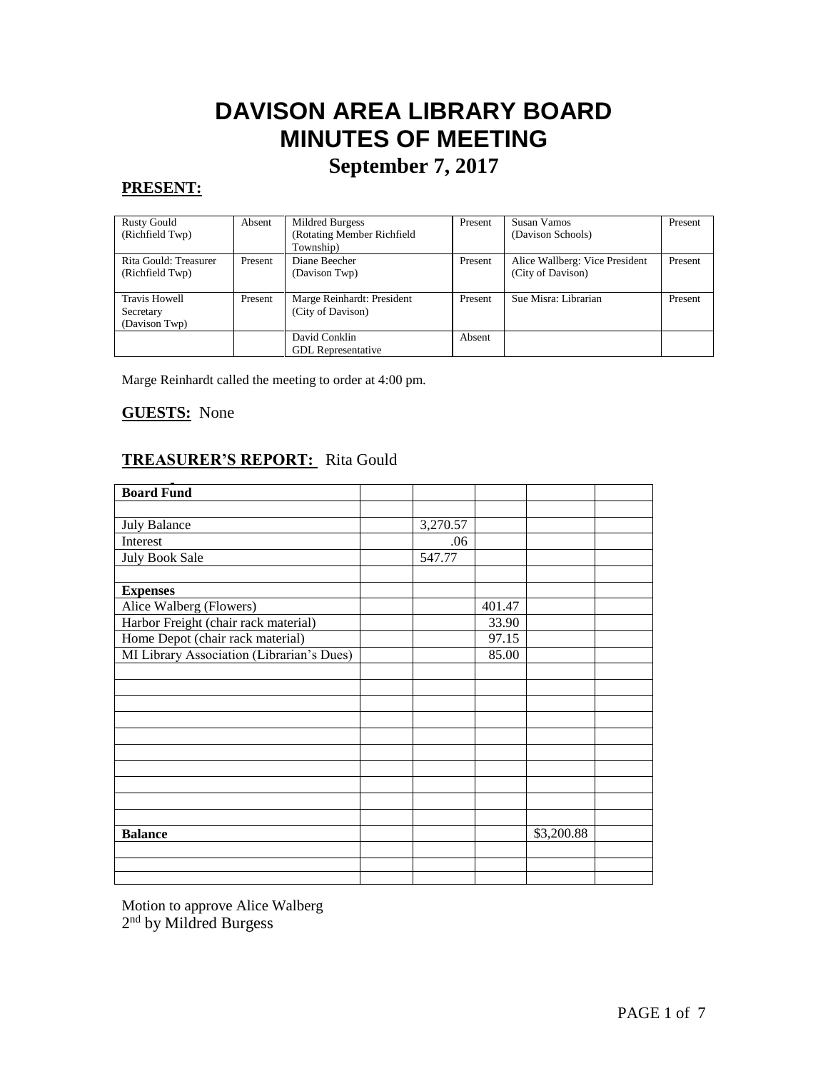# **DAVISON AREA LIBRARY BOARD MINUTES OF MEETING**

# **September 7, 2017**

# **PRESENT:**

| <b>Rusty Gould</b><br>(Richfield Twp)              | Absent  | Mildred Burgess<br>(Rotating Member Richfield<br>Township) | Present | Susan Vamos<br>(Davison Schools)                    | Present |
|----------------------------------------------------|---------|------------------------------------------------------------|---------|-----------------------------------------------------|---------|
| Rita Gould: Treasurer<br>(Richfield Twp)           | Present | Diane Beecher<br>(Davison Twp)                             | Present | Alice Wallberg: Vice President<br>(City of Davison) | Present |
| <b>Travis Howell</b><br>Secretary<br>(Davison Twp) | Present | Marge Reinhardt: President<br>(City of Davison)            | Present | Sue Misra: Librarian                                | Present |
|                                                    |         | David Conklin<br><b>GDL</b> Representative                 | Absent  |                                                     |         |

Marge Reinhardt called the meeting to order at 4:00 pm.

# **GUESTS:** None

# **TREASURER'S REPORT:** Rita Gould

| <b>Board Fund</b>                         |          |        |            |  |
|-------------------------------------------|----------|--------|------------|--|
|                                           |          |        |            |  |
| July Balance                              | 3,270.57 |        |            |  |
| Interest                                  | .06      |        |            |  |
| <b>July Book Sale</b>                     | 547.77   |        |            |  |
|                                           |          |        |            |  |
| <b>Expenses</b>                           |          |        |            |  |
| Alice Walberg (Flowers)                   |          | 401.47 |            |  |
| Harbor Freight (chair rack material)      |          | 33.90  |            |  |
| Home Depot (chair rack material)          |          | 97.15  |            |  |
| MI Library Association (Librarian's Dues) |          | 85.00  |            |  |
|                                           |          |        |            |  |
|                                           |          |        |            |  |
|                                           |          |        |            |  |
|                                           |          |        |            |  |
|                                           |          |        |            |  |
|                                           |          |        |            |  |
|                                           |          |        |            |  |
|                                           |          |        |            |  |
|                                           |          |        |            |  |
|                                           |          |        |            |  |
| <b>Balance</b>                            |          |        | \$3,200.88 |  |
|                                           |          |        |            |  |
|                                           |          |        |            |  |
|                                           |          |        |            |  |

Motion to approve Alice Walberg 2<sup>nd</sup> by Mildred Burgess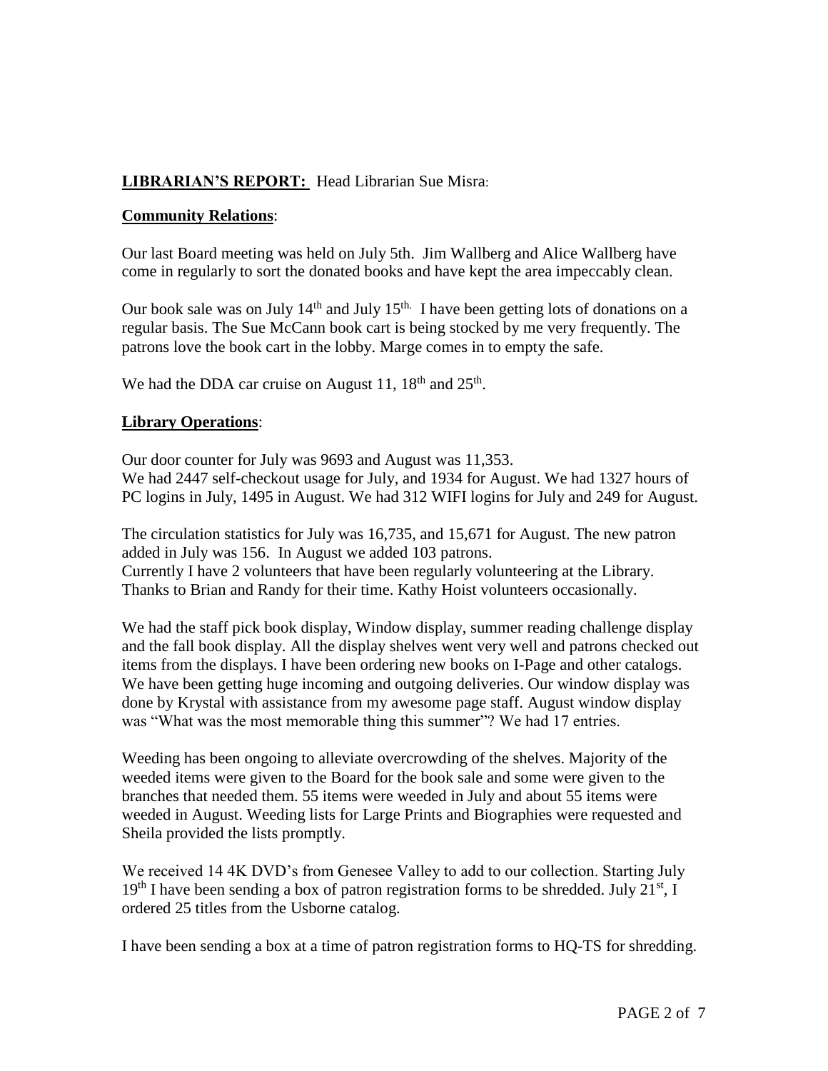# **LIBRARIAN'S REPORT:** Head Librarian Sue Misra:

#### **Community Relations**:

Our last Board meeting was held on July 5th. Jim Wallberg and Alice Wallberg have come in regularly to sort the donated books and have kept the area impeccably clean.

Our book sale was on July  $14<sup>th</sup>$  and July  $15<sup>th</sup>$ . I have been getting lots of donations on a regular basis. The Sue McCann book cart is being stocked by me very frequently. The patrons love the book cart in the lobby. Marge comes in to empty the safe.

We had the DDA car cruise on August 11,  $18<sup>th</sup>$  and  $25<sup>th</sup>$ .

#### **Library Operations**:

Our door counter for July was 9693 and August was 11,353. We had 2447 self-checkout usage for July, and 1934 for August. We had 1327 hours of PC logins in July, 1495 in August. We had 312 WIFI logins for July and 249 for August.

The circulation statistics for July was 16,735, and 15,671 for August. The new patron added in July was 156. In August we added 103 patrons. Currently I have 2 volunteers that have been regularly volunteering at the Library. Thanks to Brian and Randy for their time. Kathy Hoist volunteers occasionally.

We had the staff pick book display, Window display, summer reading challenge display and the fall book display. All the display shelves went very well and patrons checked out items from the displays. I have been ordering new books on I-Page and other catalogs. We have been getting huge incoming and outgoing deliveries. Our window display was done by Krystal with assistance from my awesome page staff. August window display was "What was the most memorable thing this summer"? We had 17 entries.

Weeding has been ongoing to alleviate overcrowding of the shelves. Majority of the weeded items were given to the Board for the book sale and some were given to the branches that needed them. 55 items were weeded in July and about 55 items were weeded in August. Weeding lists for Large Prints and Biographies were requested and Sheila provided the lists promptly.

We received 14 4K DVD's from Genesee Valley to add to our collection. Starting July  $19<sup>th</sup>$  I have been sending a box of patron registration forms to be shredded. July  $21<sup>st</sup>$ , I ordered 25 titles from the Usborne catalog.

I have been sending a box at a time of patron registration forms to HQ-TS for shredding.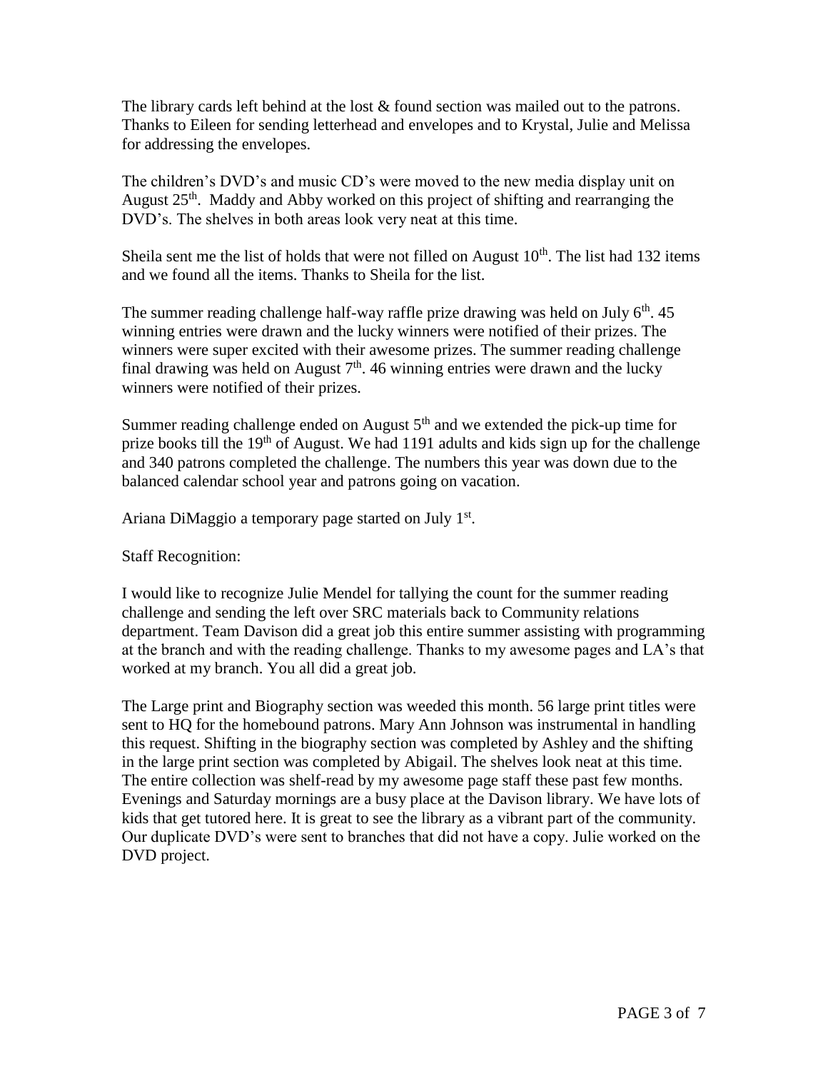The library cards left behind at the lost & found section was mailed out to the patrons. Thanks to Eileen for sending letterhead and envelopes and to Krystal, Julie and Melissa for addressing the envelopes.

The children's DVD's and music CD's were moved to the new media display unit on August 25<sup>th</sup>. Maddy and Abby worked on this project of shifting and rearranging the DVD's. The shelves in both areas look very neat at this time.

Sheila sent me the list of holds that were not filled on August  $10<sup>th</sup>$ . The list had 132 items and we found all the items. Thanks to Sheila for the list.

The summer reading challenge half-way raffle prize drawing was held on July  $6<sup>th</sup>$ . 45 winning entries were drawn and the lucky winners were notified of their prizes. The winners were super excited with their awesome prizes. The summer reading challenge final drawing was held on August  $7<sup>th</sup>$ . 46 winning entries were drawn and the lucky winners were notified of their prizes.

Summer reading challenge ended on August  $5<sup>th</sup>$  and we extended the pick-up time for prize books till the  $19<sup>th</sup>$  of August. We had 1191 adults and kids sign up for the challenge and 340 patrons completed the challenge. The numbers this year was down due to the balanced calendar school year and patrons going on vacation.

Ariana DiMaggio a temporary page started on July 1st.

Staff Recognition:

I would like to recognize Julie Mendel for tallying the count for the summer reading challenge and sending the left over SRC materials back to Community relations department. Team Davison did a great job this entire summer assisting with programming at the branch and with the reading challenge. Thanks to my awesome pages and LA's that worked at my branch. You all did a great job.

The Large print and Biography section was weeded this month. 56 large print titles were sent to HQ for the homebound patrons. Mary Ann Johnson was instrumental in handling this request. Shifting in the biography section was completed by Ashley and the shifting in the large print section was completed by Abigail. The shelves look neat at this time. The entire collection was shelf-read by my awesome page staff these past few months. Evenings and Saturday mornings are a busy place at the Davison library. We have lots of kids that get tutored here. It is great to see the library as a vibrant part of the community. Our duplicate DVD's were sent to branches that did not have a copy. Julie worked on the DVD project.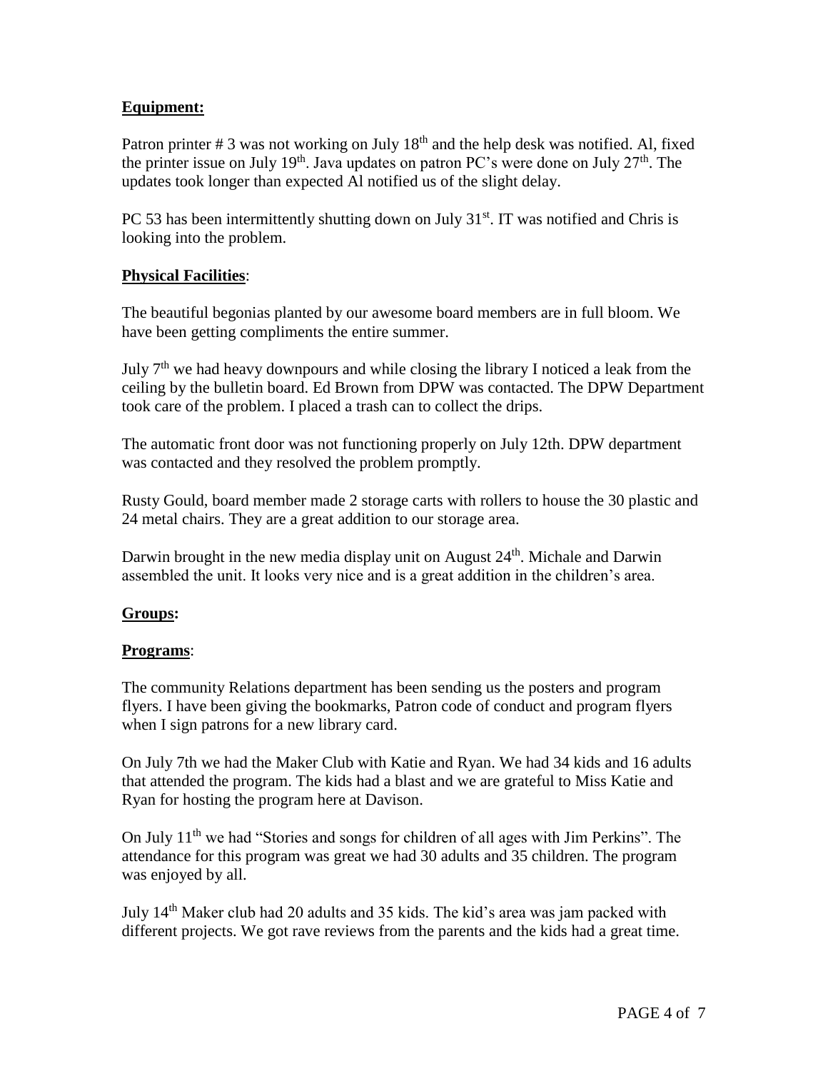# **Equipment:**

Patron printer # 3 was not working on July 18<sup>th</sup> and the help desk was notified. Al, fixed the printer issue on July 19<sup>th</sup>. Java updates on patron PC's were done on July  $27<sup>th</sup>$ . The updates took longer than expected Al notified us of the slight delay.

PC 53 has been intermittently shutting down on July  $31<sup>st</sup>$ . IT was notified and Chris is looking into the problem.

#### **Physical Facilities**:

The beautiful begonias planted by our awesome board members are in full bloom. We have been getting compliments the entire summer.

July  $7<sup>th</sup>$  we had heavy downpours and while closing the library I noticed a leak from the ceiling by the bulletin board. Ed Brown from DPW was contacted. The DPW Department took care of the problem. I placed a trash can to collect the drips.

The automatic front door was not functioning properly on July 12th. DPW department was contacted and they resolved the problem promptly.

Rusty Gould, board member made 2 storage carts with rollers to house the 30 plastic and 24 metal chairs. They are a great addition to our storage area.

Darwin brought in the new media display unit on August 24<sup>th</sup>. Michale and Darwin assembled the unit. It looks very nice and is a great addition in the children's area.

# **Groups:**

#### **Programs**:

The community Relations department has been sending us the posters and program flyers. I have been giving the bookmarks, Patron code of conduct and program flyers when I sign patrons for a new library card.

On July 7th we had the Maker Club with Katie and Ryan. We had 34 kids and 16 adults that attended the program. The kids had a blast and we are grateful to Miss Katie and Ryan for hosting the program here at Davison.

On July 11<sup>th</sup> we had "Stories and songs for children of all ages with Jim Perkins". The attendance for this program was great we had 30 adults and 35 children. The program was enjoyed by all.

July 14th Maker club had 20 adults and 35 kids. The kid's area was jam packed with different projects. We got rave reviews from the parents and the kids had a great time.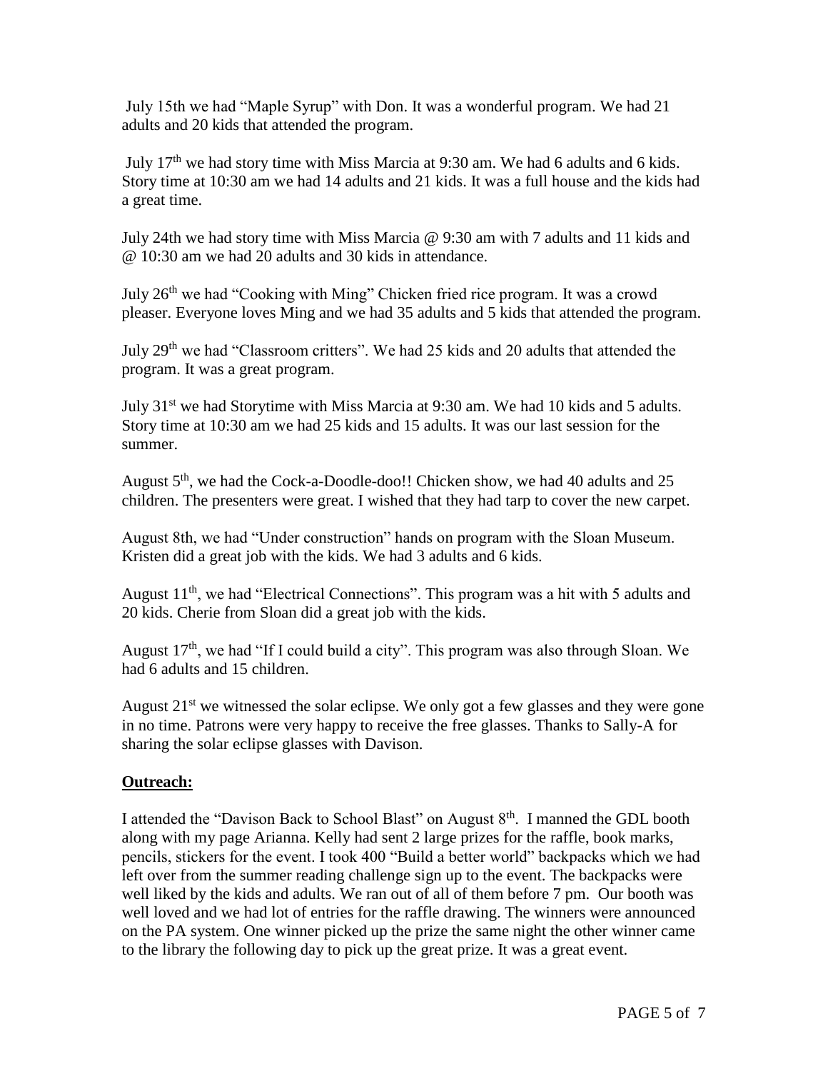July 15th we had "Maple Syrup" with Don. It was a wonderful program. We had 21 adults and 20 kids that attended the program.

July 17th we had story time with Miss Marcia at 9:30 am. We had 6 adults and 6 kids. Story time at 10:30 am we had 14 adults and 21 kids. It was a full house and the kids had a great time.

July 24th we had story time with Miss Marcia @ 9:30 am with 7 adults and 11 kids and @ 10:30 am we had 20 adults and 30 kids in attendance.

July 26<sup>th</sup> we had "Cooking with Ming" Chicken fried rice program. It was a crowd pleaser. Everyone loves Ming and we had 35 adults and 5 kids that attended the program.

July 29<sup>th</sup> we had "Classroom critters". We had 25 kids and 20 adults that attended the program. It was a great program.

July 31st we had Storytime with Miss Marcia at 9:30 am. We had 10 kids and 5 adults. Story time at 10:30 am we had 25 kids and 15 adults. It was our last session for the summer.

August  $5<sup>th</sup>$ , we had the Cock-a-Doodle-doo!! Chicken show, we had 40 adults and 25 children. The presenters were great. I wished that they had tarp to cover the new carpet.

August 8th, we had "Under construction" hands on program with the Sloan Museum. Kristen did a great job with the kids. We had 3 adults and 6 kids.

August  $11<sup>th</sup>$ , we had "Electrical Connections". This program was a hit with 5 adults and 20 kids. Cherie from Sloan did a great job with the kids.

August  $17<sup>th</sup>$ , we had "If I could build a city". This program was also through Sloan. We had 6 adults and 15 children.

August  $21^{st}$  we witnessed the solar eclipse. We only got a few glasses and they were gone in no time. Patrons were very happy to receive the free glasses. Thanks to Sally-A for sharing the solar eclipse glasses with Davison.

# **Outreach:**

I attended the "Davison Back to School Blast" on August  $8<sup>th</sup>$ . I manned the GDL booth along with my page Arianna. Kelly had sent 2 large prizes for the raffle, book marks, pencils, stickers for the event. I took 400 "Build a better world" backpacks which we had left over from the summer reading challenge sign up to the event. The backpacks were well liked by the kids and adults. We ran out of all of them before 7 pm. Our booth was well loved and we had lot of entries for the raffle drawing. The winners were announced on the PA system. One winner picked up the prize the same night the other winner came to the library the following day to pick up the great prize. It was a great event.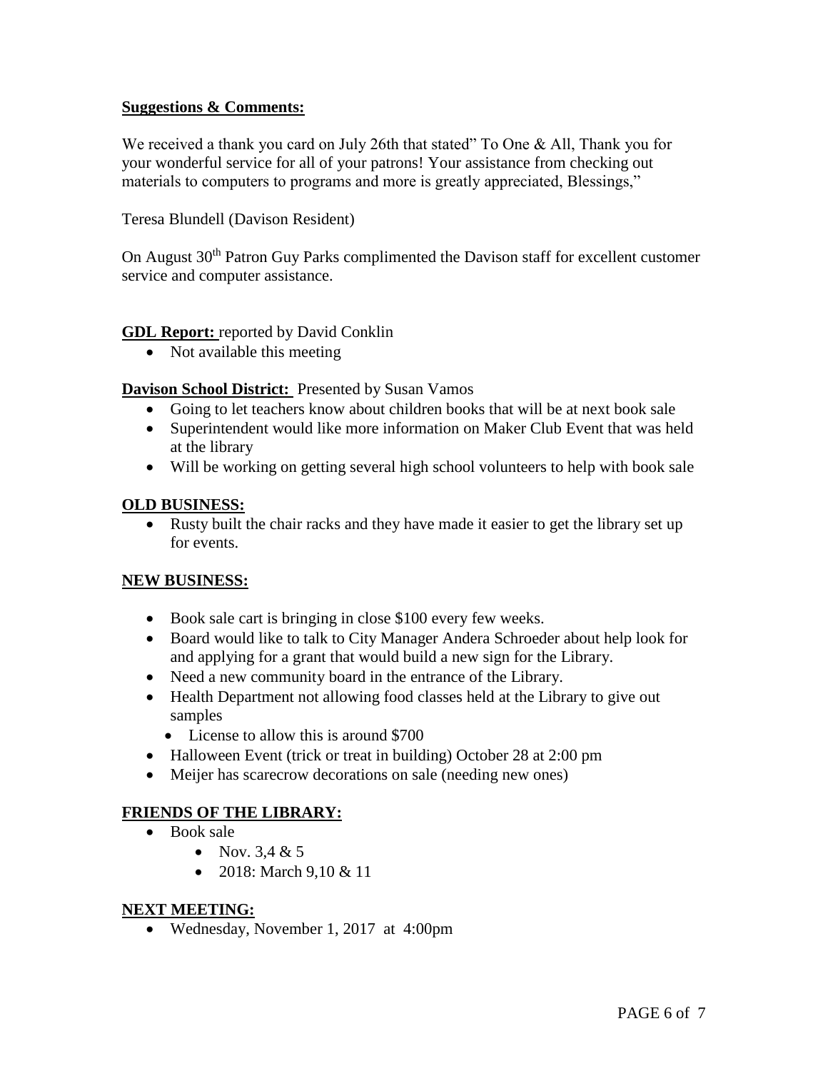#### **Suggestions & Comments:**

We received a thank you card on July 26th that stated" To One & All, Thank you for your wonderful service for all of your patrons! Your assistance from checking out materials to computers to programs and more is greatly appreciated, Blessings,"

Teresa Blundell (Davison Resident)

On August 30<sup>th</sup> Patron Guy Parks complimented the Davison staff for excellent customer service and computer assistance.

#### **GDL Report:** reported by David Conklin

• Not available this meeting

**Davison School District:** Presented by Susan Vamos

- Going to let teachers know about children books that will be at next book sale
- Superintendent would like more information on Maker Club Event that was held at the library
- Will be working on getting several high school volunteers to help with book sale

#### **OLD BUSINESS:**

 Rusty built the chair racks and they have made it easier to get the library set up for events.

#### **NEW BUSINESS:**

- Book sale cart is bringing in close \$100 every few weeks.
- Board would like to talk to City Manager Andera Schroeder about help look for and applying for a grant that would build a new sign for the Library.
- Need a new community board in the entrance of the Library.
- Health Department not allowing food classes held at the Library to give out samples
	- License to allow this is around \$700
- Halloween Event (trick or treat in building) October 28 at 2:00 pm
- Meijer has scarecrow decorations on sale (needing new ones)

# **FRIENDS OF THE LIBRARY:**

- Book sale
	- Nov.  $3.4 & 5$
	- 2018: March  $9.10 \& 11$

#### **NEXT MEETING:**

Wednesday, November 1, 2017 at 4:00pm